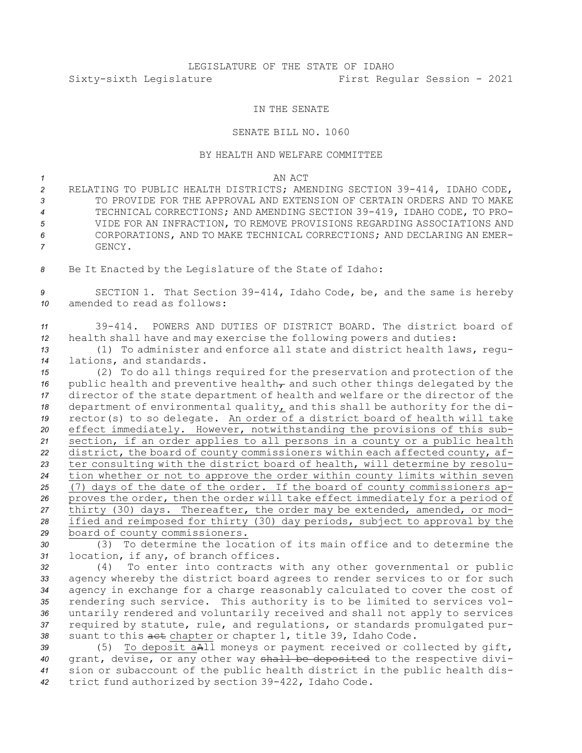# LEGISLATURE OF THE STATE OF IDAHO Sixty-sixth Legislature First Regular Session - 2021

### IN THE SENATE

#### SENATE BILL NO. 1060

#### BY HEALTH AND WELFARE COMMITTEE

*1* AN ACT

- *<sup>2</sup>* RELATING TO PUBLIC HEALTH DISTRICTS; AMENDING SECTION 39-414, IDAHO CODE, *3* TO PROVIDE FOR THE APPROVAL AND EXTENSION OF CERTAIN ORDERS AND TO MAKE *<sup>4</sup>* TECHNICAL CORRECTIONS; AND AMENDING SECTION 39-419, IDAHO CODE, TO PRO-*5* VIDE FOR AN INFRACTION, TO REMOVE PROVISIONS REGARDING ASSOCIATIONS AND *6* CORPORATIONS, AND TO MAKE TECHNICAL CORRECTIONS; AND DECLARING AN EMER-*7* GENCY.
- *<sup>8</sup>* Be It Enacted by the Legislature of the State of Idaho:

*<sup>9</sup>* SECTION 1. That Section 39-414, Idaho Code, be, and the same is hereby *10* amended to read as follows:

## *11* 39-414. POWERS AND DUTIES OF DISTRICT BOARD. The district board of *<sup>12</sup>* health shall have and may exercise the following powers and duties:

*<sup>13</sup>* (1) To administer and enforce all state and district health laws, regu-*<sup>14</sup>* lations, and standards.

 (2) To do all things required for the preservation and protection of the 16 public health and preventive health<sub> $\tau$ </sub> and such other things delegated by the director of the state department of health and welfare or the director of the department of environmental quality, and this shall be authority for the di- rector(s) to so delegate. An order of <sup>a</sup> district board of health will take effect immediately. However, notwithstanding the provisions of this sub- section, if an order applies to all persons in <sup>a</sup> county or <sup>a</sup> public health district, the board of county commissioners within each affected county, af- ter consulting with the district board of health, will determine by resolu- tion whether or not to approve the order within county limits within seven (7) days of the date of the order. If the board of county commissioners ap- proves the order, then the order will take effect immediately for <sup>a</sup> period of thirty (30) days. Thereafter, the order may be extended, amended, or mod- ified and reimposed for thirty (30) day periods, subject to approval by the board of county commissioners.

*30* (3) To determine the location of its main office and to determine the *<sup>31</sup>* location, if any, of branch offices.

 (4) To enter into contracts with any other governmental or public agency whereby the district board agrees to render services to or for such agency in exchange for <sup>a</sup> charge reasonably calculated to cover the cost of rendering such service. This authority is to be limited to services vol- untarily rendered and voluntarily received and shall not apply to services required by statute, rule, and regulations, or standards promulgated pur-suant to this act chapter or chapter 1, title 39, Idaho Code.

 (5) To deposit aAll moneys or payment received or collected by gift, grant, devise, or any other way shall be deposited to the respective divi- sion or subaccount of the public health district in the public health dis-trict fund authorized by section 39-422, Idaho Code.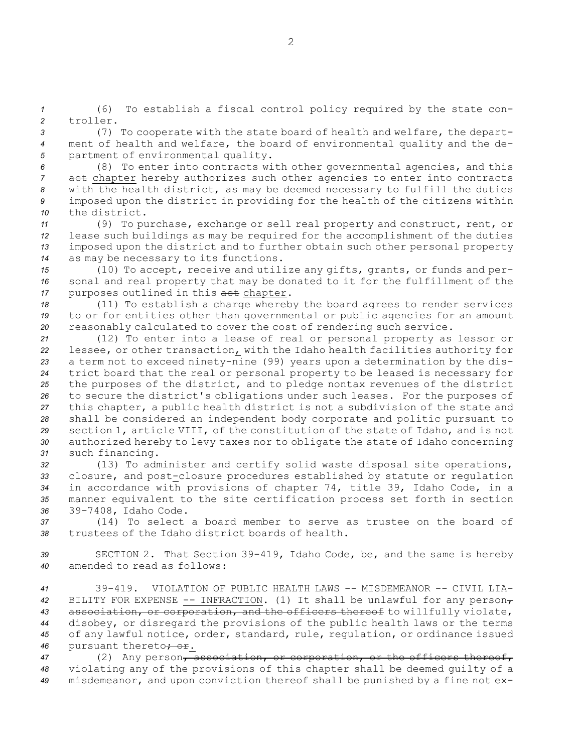*<sup>1</sup>* (6) To establish <sup>a</sup> fiscal control policy required by the state con-*2* troller.

*<sup>3</sup>* (7) To cooperate with the state board of health and welfare, the depart-*<sup>4</sup>* ment of health and welfare, the board of environmental quality and the de-*<sup>5</sup>* partment of environmental quality.

 (8) To enter into contracts with other governmental agencies, and this act chapter hereby authorizes such other agencies to enter into contracts with the health district, as may be deemed necessary to fulfill the duties imposed upon the district in providing for the health of the citizens within the district.

 (9) To purchase, exchange or sell real property and construct, rent, or lease such buildings as may be required for the accomplishment of the duties imposed upon the district and to further obtain such other personal property as may be necessary to its functions.

*<sup>15</sup>* (10) To accept, receive and utilize any gifts, grants, or funds and per-*<sup>16</sup>* sonal and real property that may be donated to it for the fulfillment of the 17 purposes outlined in this act chapter.

*<sup>18</sup>* (11) To establish <sup>a</sup> charge whereby the board agrees to render services *<sup>19</sup>* to or for entities other than governmental or public agencies for an amount *<sup>20</sup>* reasonably calculated to cover the cost of rendering such service.

 (12) To enter into <sup>a</sup> lease of real or personal property as lessor or lessee, or other transaction, with the Idaho health facilities authority for <sup>a</sup> term not to exceed ninety-nine (99) years upon <sup>a</sup> determination by the dis- trict board that the real or personal property to be leased is necessary for the purposes of the district, and to pledge nontax revenues of the district to secure the district's obligations under such leases. For the purposes of this chapter, <sup>a</sup> public health district is not <sup>a</sup> subdivision of the state and shall be considered an independent body corporate and politic pursuant to section 1, article VIII, of the constitution of the state of Idaho, and is not authorized hereby to levy taxes nor to obligate the state of Idaho concerning such financing.

 (13) To administer and certify solid waste disposal site operations, closure, and post-closure procedures established by statute or regulation in accordance with provisions of chapter 74, title 39, Idaho Code, in <sup>a</sup> manner equivalent to the site certification process set forth in section 39-7408, Idaho Code.

*37* (14) To select <sup>a</sup> board member to serve as trustee on the board of *38* trustees of the Idaho district boards of health.

*<sup>39</sup>* SECTION 2. That Section 39-419, Idaho Code, be, and the same is hereby *40* amended to read as follows:

 39-419. VIOLATION OF PUBLIC HEALTH LAWS -- MISDEMEANOR -- CIVIL LIA- BILITY FOR EXPENSE -- INFRACTION. (1) It shall be unlawful for any person, association, or corporation, and the officers thereof to willfully violate, disobey, or disregard the provisions of the public health laws or the terms of any lawful notice, order, standard, rule, regulation, or ordinance issued 46 pursuant thereto<del>; or</del>.

47 (2) Any person, association, or corporation, or the officers thereof, *<sup>48</sup>* violating any of the provisions of this chapter shall be deemed guilty of <sup>a</sup> *<sup>49</sup>* misdemeanor, and upon conviction thereof shall be punished by <sup>a</sup> fine not ex-